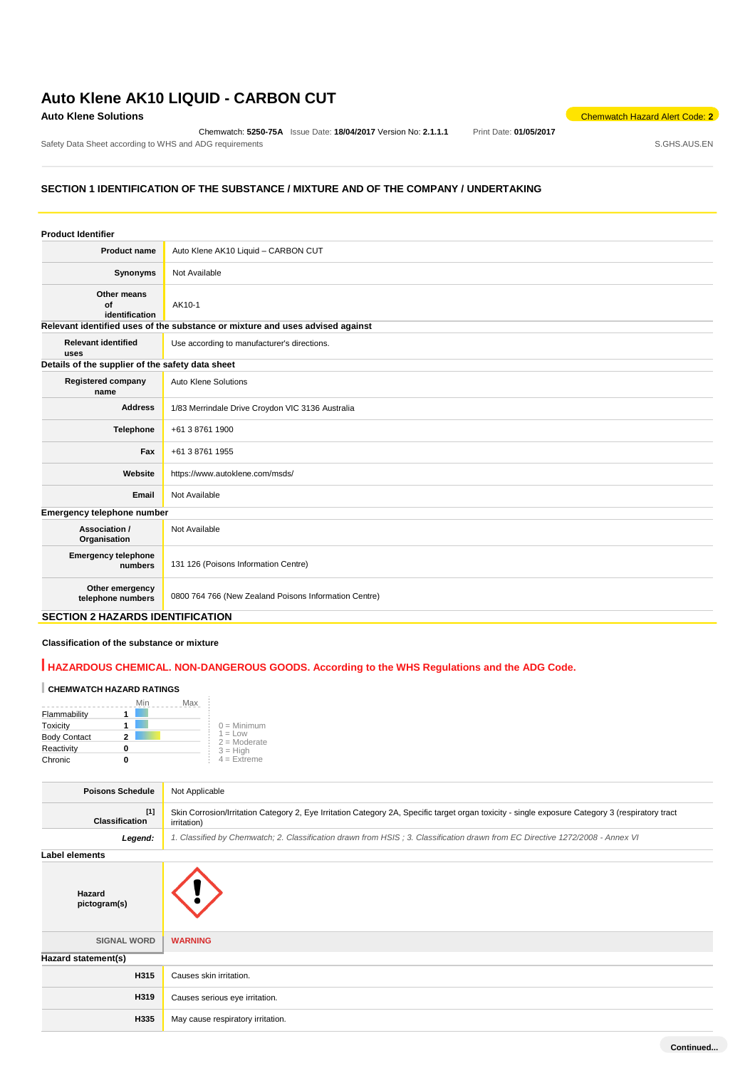### **Auto Klene AK10 LIQUID - CARBON CUT**

Chemwatch: **5250-75A** Issue Date: **18/04/2017** Version No: **2.1.1.1** Print Date: **01/05/2017**

**Auto Klene Solutions** Chemwatch Hazard Alert Code: 2<sup>2</sup>

Safety Data Sheet according to WHS and ADG requirements **Safety Data Sheet according to WHS** and ADG requirements

### **SECTION 1 IDENTIFICATION OF THE SUBSTANCE / MIXTURE AND OF THE COMPANY / UNDERTAKING**

| <b>Product Identifier</b>                        |                                                                               |
|--------------------------------------------------|-------------------------------------------------------------------------------|
| <b>Product name</b>                              | Auto Klene AK10 Liquid - CARBON CUT                                           |
| Synonyms                                         | Not Available                                                                 |
| Other means<br>of<br>identification              | AK10-1                                                                        |
|                                                  | Relevant identified uses of the substance or mixture and uses advised against |
| <b>Relevant identified</b><br>uses               | Use according to manufacturer's directions.                                   |
| Details of the supplier of the safety data sheet |                                                                               |
| <b>Registered company</b><br>name                | Auto Klene Solutions                                                          |
| <b>Address</b>                                   | 1/83 Merrindale Drive Croydon VIC 3136 Australia                              |
| Telephone                                        | +61 3 8761 1900                                                               |
| Fax                                              | +61 3 8761 1955                                                               |
| Website                                          | https://www.autoklene.com/msds/                                               |
| Email                                            | Not Available                                                                 |
| Emergency telephone number                       |                                                                               |
| Association /<br>Organisation                    | Not Available                                                                 |
| <b>Emergency telephone</b><br>numbers            | 131 126 (Poisons Information Centre)                                          |
| Other emergency<br>telephone numbers             | 0800 764 766 (New Zealand Poisons Information Centre)                         |

#### **SECTION 2 HAZARDS IDENTIFICATION**

#### **Classification of the substance or mixture**

### **HAZARDOUS CHEMICAL. NON-DANGEROUS GOODS. According to the WHS Regulations and the ADG Code.**

### **CHEMWATCH HAZARD RATINGS**

|                     | Min | Max |                             |
|---------------------|-----|-----|-----------------------------|
| Flammability        |     |     |                             |
| Toxicity            |     |     | $0 =$ Minimum               |
| <b>Body Contact</b> |     |     | $1 = Low$<br>$2 =$ Moderate |
| Reactivity          |     |     | $3 = High$                  |
| Chronic             |     |     | $4 =$ Extreme               |

| <b>Poisons Schedule</b><br>Not Applicable<br>$[1]$<br>Skin Corrosion/Irritation Category 2, Eye Irritation Category 2A, Specific target organ toxicity - single exposure Category 3 (respiratory tract<br><b>Classification</b><br>irritation)<br>Legend:<br>1. Classified by Chemwatch; 2. Classification drawn from HSIS; 3. Classification drawn from EC Directive 1272/2008 - Annex VI<br><b>Label elements</b><br>Hazard<br>pictogram(s)<br><b>SIGNAL WORD</b><br><b>WARNING</b><br>Hazard statement(s)<br>H315<br>Causes skin irritation.<br>H319<br>Causes serious eye irritation.<br>H335<br>May cause respiratory irritation. |  |  |  |
|----------------------------------------------------------------------------------------------------------------------------------------------------------------------------------------------------------------------------------------------------------------------------------------------------------------------------------------------------------------------------------------------------------------------------------------------------------------------------------------------------------------------------------------------------------------------------------------------------------------------------------------|--|--|--|
|                                                                                                                                                                                                                                                                                                                                                                                                                                                                                                                                                                                                                                        |  |  |  |
|                                                                                                                                                                                                                                                                                                                                                                                                                                                                                                                                                                                                                                        |  |  |  |
|                                                                                                                                                                                                                                                                                                                                                                                                                                                                                                                                                                                                                                        |  |  |  |
|                                                                                                                                                                                                                                                                                                                                                                                                                                                                                                                                                                                                                                        |  |  |  |
|                                                                                                                                                                                                                                                                                                                                                                                                                                                                                                                                                                                                                                        |  |  |  |
|                                                                                                                                                                                                                                                                                                                                                                                                                                                                                                                                                                                                                                        |  |  |  |
|                                                                                                                                                                                                                                                                                                                                                                                                                                                                                                                                                                                                                                        |  |  |  |
|                                                                                                                                                                                                                                                                                                                                                                                                                                                                                                                                                                                                                                        |  |  |  |
|                                                                                                                                                                                                                                                                                                                                                                                                                                                                                                                                                                                                                                        |  |  |  |
|                                                                                                                                                                                                                                                                                                                                                                                                                                                                                                                                                                                                                                        |  |  |  |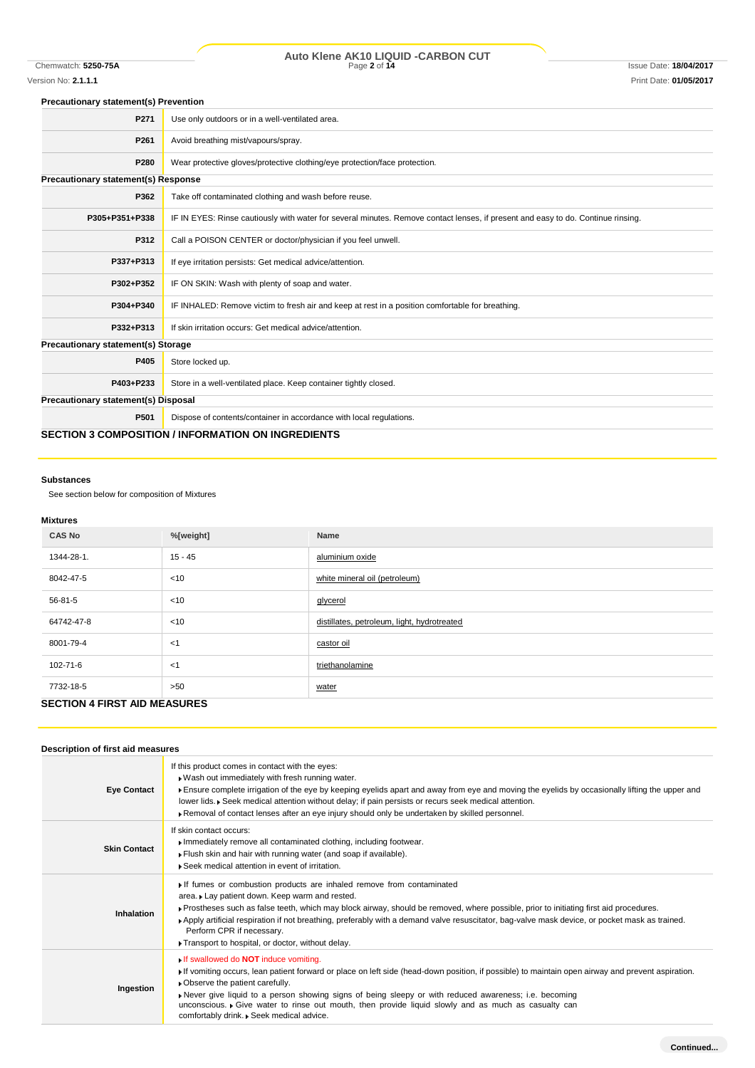## Chemwatch: **5250-75A** Page **2** of **14** Issue Date: **18/04/2017 Auto Klene AK10 LIQUID -CARBON CUT**

## Version No: **2.1.1.1** Print Date: **01/05/2017**

#### **Precautionary statement(s) Prevention**

| P271                                | Use only outdoors or in a well-ventilated area.                                                                                  |  |
|-------------------------------------|----------------------------------------------------------------------------------------------------------------------------------|--|
| P261                                | Avoid breathing mist/vapours/spray.                                                                                              |  |
| P280                                | Wear protective gloves/protective clothing/eye protection/face protection.                                                       |  |
| Precautionary statement(s) Response |                                                                                                                                  |  |
| P362                                | Take off contaminated clothing and wash before reuse.                                                                            |  |
| P305+P351+P338                      | IF IN EYES: Rinse cautiously with water for several minutes. Remove contact lenses, if present and easy to do. Continue rinsing. |  |
| P312                                | Call a POISON CENTER or doctor/physician if you feel unwell.                                                                     |  |
| P337+P313                           | If eye irritation persists: Get medical advice/attention.                                                                        |  |
| P302+P352                           | IF ON SKIN: Wash with plenty of soap and water.                                                                                  |  |
| P304+P340                           | IF INHALED: Remove victim to fresh air and keep at rest in a position comfortable for breathing.                                 |  |
| P332+P313                           | If skin irritation occurs: Get medical advice/attention.                                                                         |  |
| Precautionary statement(s) Storage  |                                                                                                                                  |  |
| P405                                | Store locked up.                                                                                                                 |  |
| P403+P233                           | Store in a well-ventilated place. Keep container tightly closed.                                                                 |  |
| Precautionary statement(s) Disposal |                                                                                                                                  |  |
| P501                                | Dispose of contents/container in accordance with local regulations.                                                              |  |
|                                     | <b>SECTION 3 COMPOSITION / INFORMATION ON INGREDIENTS</b>                                                                        |  |

#### **Substances**

See section below for composition of Mixtures

#### **Mixtures**

| <b>CAS No</b>                       | %[weight] | Name                                        |
|-------------------------------------|-----------|---------------------------------------------|
| 1344-28-1.                          | $15 - 45$ | aluminium oxide                             |
| 8042-47-5                           | $<$ 10    | white mineral oil (petroleum)               |
| 56-81-5                             | $<$ 10    | glycerol                                    |
| 64742-47-8                          | $<$ 10    | distillates, petroleum, light, hydrotreated |
| 8001-79-4                           | $<$ 1     | castor oil                                  |
| 102-71-6                            | $<$ 1     | triethanolamine                             |
| 7732-18-5                           | >50       | water                                       |
| <b>SECTION 4 FIRST AID MEASURES</b> |           |                                             |

### **Description of first aid measures**

| <b>Eye Contact</b>  | If this product comes in contact with the eyes:<br>. Wash out immediately with fresh running water.<br>Ensure complete irrigation of the eye by keeping eyelids apart and away from eye and moving the eyelids by occasionally lifting the upper and<br>lower lids. • Seek medical attention without delay; if pain persists or recurs seek medical attention.<br>Removal of contact lenses after an eye injury should only be undertaken by skilled personnel.                                     |
|---------------------|-----------------------------------------------------------------------------------------------------------------------------------------------------------------------------------------------------------------------------------------------------------------------------------------------------------------------------------------------------------------------------------------------------------------------------------------------------------------------------------------------------|
| <b>Skin Contact</b> | If skin contact occurs:<br>Immediately remove all contaminated clothing, including footwear.<br>Flush skin and hair with running water (and soap if available).<br>▶ Seek medical attention in event of irritation.                                                                                                                                                                                                                                                                                 |
| <b>Inhalation</b>   | If fumes or combustion products are inhaled remove from contaminated<br>area. Lay patient down. Keep warm and rested.<br>> Prostheses such as false teeth, which may block airway, should be removed, where possible, prior to initiating first aid procedures.<br>▶ Apply artificial respiration if not breathing, preferably with a demand valve resuscitator, bag-valve mask device, or pocket mask as trained.<br>Perform CPR if necessary.<br>Transport to hospital, or doctor, without delay. |
| Ingestion           | <b>If swallowed do NOT induce vomiting.</b><br>If vomiting occurs, lean patient forward or place on left side (head-down position, if possible) to maintain open airway and prevent aspiration.<br>• Observe the patient carefully.<br>Never give liquid to a person showing signs of being sleepy or with reduced awareness; i.e. becoming<br>unconscious. Give water to rinse out mouth, then provide liquid slowly and as much as casualty can<br>comfortably drink. • Seek medical advice.      |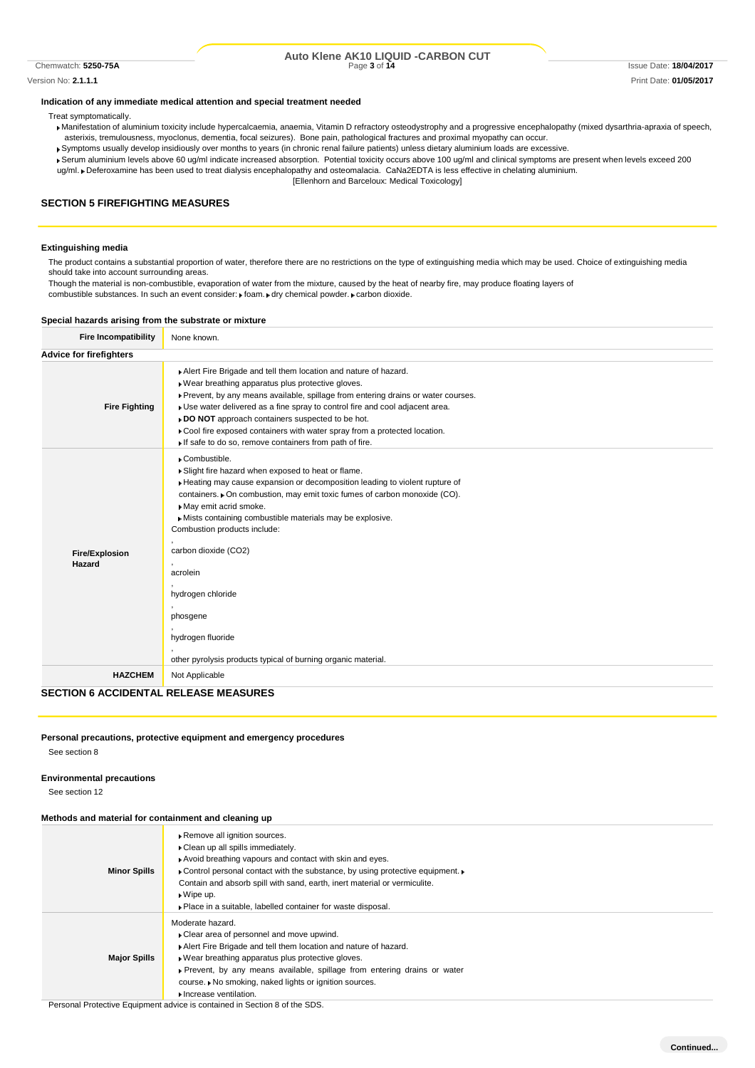## Chemwatch: **5250-75A** Page **3** of **14** Issue Date: **18/04/2017 Auto Klene AK10 LIQUID -CARBON CUT**

Version No: **2.1.1.1** Print Date: **01/05/2017**

#### **Indication of any immediate medical attention and special treatment needed**

Treat symptomatically.

- Manifestation of aluminium toxicity include hypercalcaemia, anaemia, Vitamin D refractory osteodystrophy and a progressive encephalopathy (mixed dysarthria-apraxia of speech, asterixis, tremulousness, myoclonus, dementia, focal seizures). Bone pain, pathological fractures and proximal myopathy can occur.
- Symptoms usually develop insidiously over months to years (in chronic renal failure patients) unless dietary aluminium loads are excessive.
- Serum aluminium levels above 60 ug/ml indicate increased absorption. Potential toxicity occurs above 100 ug/ml and clinical symptoms are present when levels exceed 200 ug/ml. Deferoxamine has been used to treat dialysis encephalopathy and osteomalacia. CaNa2EDTA is less effective in chelating aluminium.
	- [Ellenhorn and Barceloux: Medical Toxicology]

#### **SECTION 5 FIREFIGHTING MEASURES**

#### **Extinguishing media**

The product contains a substantial proportion of water, therefore there are no restrictions on the type of extinguishing media which may be used. Choice of extinguishing media should take into account surrounding areas.

Though the material is non-combustible, evaporation of water from the mixture, caused by the heat of nearby fire, may produce floating layers of combustible substances. In such an event consider: Foam. Edry chemical powder. Fcarbon dioxide.

#### **Special hazards arising from the substrate or mixture**

| <b>Fire Incompatibility</b>                  | None known.                                                                                                                                                                                                                                                                                                                                                                                                                                                                                                   |
|----------------------------------------------|---------------------------------------------------------------------------------------------------------------------------------------------------------------------------------------------------------------------------------------------------------------------------------------------------------------------------------------------------------------------------------------------------------------------------------------------------------------------------------------------------------------|
| <b>Advice for firefighters</b>               |                                                                                                                                                                                                                                                                                                                                                                                                                                                                                                               |
| <b>Fire Fighting</b>                         | Alert Fire Brigade and tell them location and nature of hazard.<br>» Wear breathing apparatus plus protective gloves.<br>▶ Prevent, by any means available, spillage from entering drains or water courses.<br>• Use water delivered as a fine spray to control fire and cool adjacent area.<br>» DO NOT approach containers suspected to be hot.<br>► Cool fire exposed containers with water spray from a protected location.<br>If safe to do so, remove containers from path of fire.                     |
| <b>Fire/Explosion</b><br>Hazard              | Combustible.<br>Slight fire hazard when exposed to heat or flame.<br>Heating may cause expansion or decomposition leading to violent rupture of<br>containers. • On combustion, may emit toxic fumes of carbon monoxide (CO).<br>May emit acrid smoke.<br>Mists containing combustible materials may be explosive.<br>Combustion products include:<br>carbon dioxide (CO2)<br>acrolein<br>hydrogen chloride<br>phosgene<br>hydrogen fluoride<br>other pyrolysis products typical of burning organic material. |
| <b>HAZCHEM</b>                               | Not Applicable                                                                                                                                                                                                                                                                                                                                                                                                                                                                                                |
| <b>SECTION 6 ACCIDENTAL RELEASE MEASURES</b> |                                                                                                                                                                                                                                                                                                                                                                                                                                                                                                               |

### **Personal precautions, protective equipment and emergency procedures**

See section 8

#### **Environmental precautions**

See section 12

#### **Methods and material for containment and cleaning up**

| <u>Methous and material for containment and cleaning up</u> |                                                                                                                                                                                                                                                                                                                                                                                    |
|-------------------------------------------------------------|------------------------------------------------------------------------------------------------------------------------------------------------------------------------------------------------------------------------------------------------------------------------------------------------------------------------------------------------------------------------------------|
| <b>Minor Spills</b>                                         | Remove all ignition sources.<br>Clean up all spills immediately.<br>Avoid breathing vapours and contact with skin and eyes.<br>► Control personal contact with the substance, by using protective equipment. ►<br>Contain and absorb spill with sand, earth, inert material or vermiculite.<br>$\bullet$ Wipe up.<br>• Place in a suitable, labelled container for waste disposal. |
| <b>Major Spills</b>                                         | Moderate hazard.<br>Clear area of personnel and move upwind.<br>Alert Fire Brigade and tell them location and nature of hazard.<br>. Wear breathing apparatus plus protective gloves.<br>Prevent, by any means available, spillage from entering drains or water<br>course. ▶ No smoking, naked lights or ignition sources.<br>Increase ventilation.                               |

Personal Protective Equipment advice is contained in Section 8 of the SDS.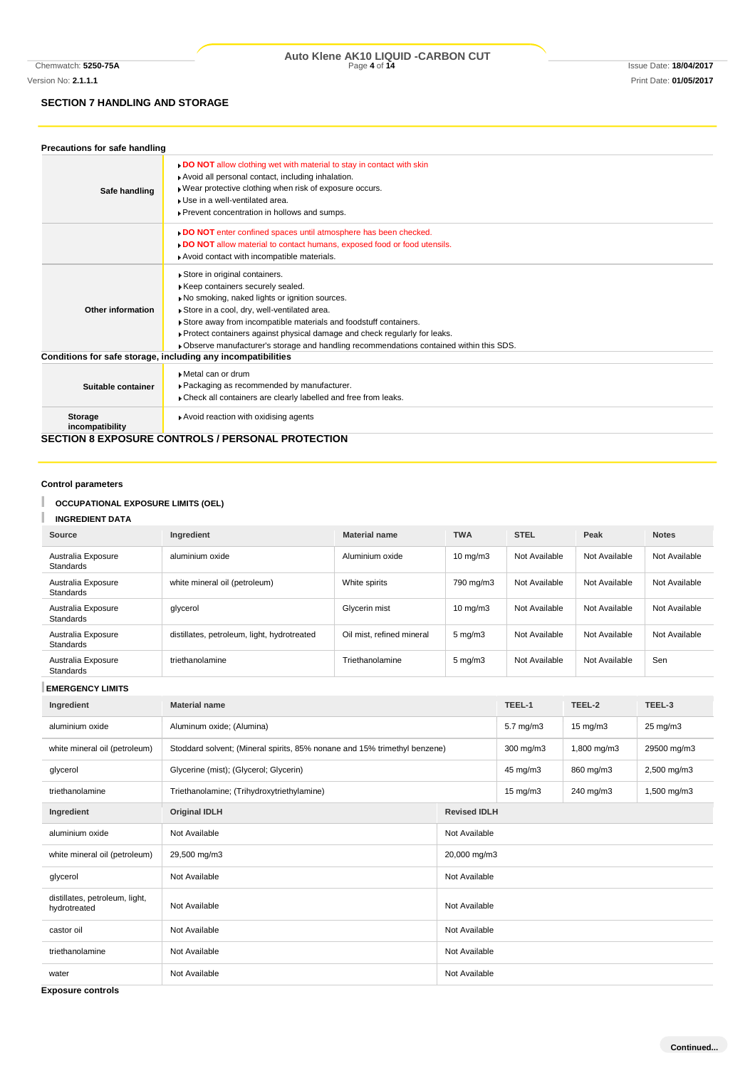### **SECTION 7 HANDLING AND STORAGE**

| Precautions for safe handling     |                                                                                                                                                                                                                                                                                                                                                                                                                |
|-----------------------------------|----------------------------------------------------------------------------------------------------------------------------------------------------------------------------------------------------------------------------------------------------------------------------------------------------------------------------------------------------------------------------------------------------------------|
| Safe handling                     | <b>DO NOT</b> allow clothing wet with material to stay in contact with skin<br>Avoid all personal contact, including inhalation.<br>. Wear protective clothing when risk of exposure occurs.<br>Use in a well-ventilated area.<br>▶ Prevent concentration in hollows and sumps.                                                                                                                                |
|                                   | DO NOT enter confined spaces until atmosphere has been checked.<br>DO NOT allow material to contact humans, exposed food or food utensils.<br>Avoid contact with incompatible materials.                                                                                                                                                                                                                       |
| Other information                 | Store in original containers.<br>Keep containers securely sealed.<br>No smoking, naked lights or ignition sources.<br>Store in a cool, dry, well-ventilated area.<br>Store away from incompatible materials and foodstuff containers.<br>Protect containers against physical damage and check regularly for leaks.<br>. Observe manufacturer's storage and handling recommendations contained within this SDS. |
|                                   | Conditions for safe storage, including any incompatibilities                                                                                                                                                                                                                                                                                                                                                   |
| Suitable container                | Metal can or drum<br>Packaging as recommended by manufacturer.<br>Check all containers are clearly labelled and free from leaks.                                                                                                                                                                                                                                                                               |
| <b>Storage</b><br>incompatibility | Avoid reaction with oxidising agents                                                                                                                                                                                                                                                                                                                                                                           |
|                                   | <b>SECTION 8 EXPOSURE CONTROLS / PERSONAL PROTECTION</b>                                                                                                                                                                                                                                                                                                                                                       |

**Control parameters**

T

#### T **OCCUPATIONAL EXPOSURE LIMITS (OEL)**

**INGREDIENT DATA**

| Source                                 | Ingredient                                  | <b>Material name</b>      | <b>TWA</b>         | <b>STEL</b>   | Peak          | <b>Notes</b>  |
|----------------------------------------|---------------------------------------------|---------------------------|--------------------|---------------|---------------|---------------|
| Australia Exposure<br>Standards        | aluminium oxide                             | Aluminium oxide           | $10 \text{ mg/m}$  | Not Available | Not Available | Not Available |
| Australia Exposure<br>Standards        | white mineral oil (petroleum)               | White spirits             | 790 mg/m3          | Not Available | Not Available | Not Available |
| Australia Exposure<br>Standards        | glycerol                                    | Glycerin mist             | $10 \text{ mg/m}$  | Not Available | Not Available | Not Available |
| Australia Exposure<br>Standards        | distillates, petroleum, light, hydrotreated | Oil mist, refined mineral | $5 \text{ mg/m}$   | Not Available | Not Available | Not Available |
| Australia Exposure<br><b>Standards</b> | triethanolamine                             | Triethanolamine           | $5 \text{ mg/m}$ 3 | Not Available | Not Available | Sen           |

**EMERGENCY LIMITS**

| Ingredient                                     | <b>Material name</b>                                                      |                     | TEEL-1            | TEEL-2            | TEEL-3              |
|------------------------------------------------|---------------------------------------------------------------------------|---------------------|-------------------|-------------------|---------------------|
| aluminium oxide                                | Aluminum oxide; (Alumina)                                                 |                     | $5.7$ mg/m $3$    | $15 \text{ mg/m}$ | $25 \text{ mg/m}$ 3 |
| white mineral oil (petroleum)                  | Stoddard solvent; (Mineral spirits, 85% nonane and 15% trimethyl benzene) |                     | 300 mg/m3         | 1,800 mg/m3       | 29500 mg/m3         |
| glycerol                                       | Glycerine (mist); (Glycerol; Glycerin)                                    |                     | 45 mg/m3          | 860 mg/m3         | 2,500 mg/m3         |
| triethanolamine                                | Triethanolamine; (Trihydroxytriethylamine)                                |                     | $15 \text{ mg/m}$ | 240 mg/m3         | 1,500 mg/m3         |
| Ingredient                                     | <b>Original IDLH</b>                                                      | <b>Revised IDLH</b> |                   |                   |                     |
| aluminium oxide                                | Not Available                                                             | Not Available       |                   |                   |                     |
| white mineral oil (petroleum)                  | 29,500 mg/m3<br>20,000 mg/m3                                              |                     |                   |                   |                     |
| glycerol                                       | Not Available                                                             | Not Available       |                   |                   |                     |
| distillates, petroleum, light,<br>hydrotreated | Not Available                                                             | Not Available       |                   |                   |                     |
| castor oil                                     | Not Available                                                             | Not Available       |                   |                   |                     |
| triethanolamine                                | Not Available                                                             | Not Available       |                   |                   |                     |
| water                                          | Not Available                                                             | Not Available       |                   |                   |                     |

**Exposure controls**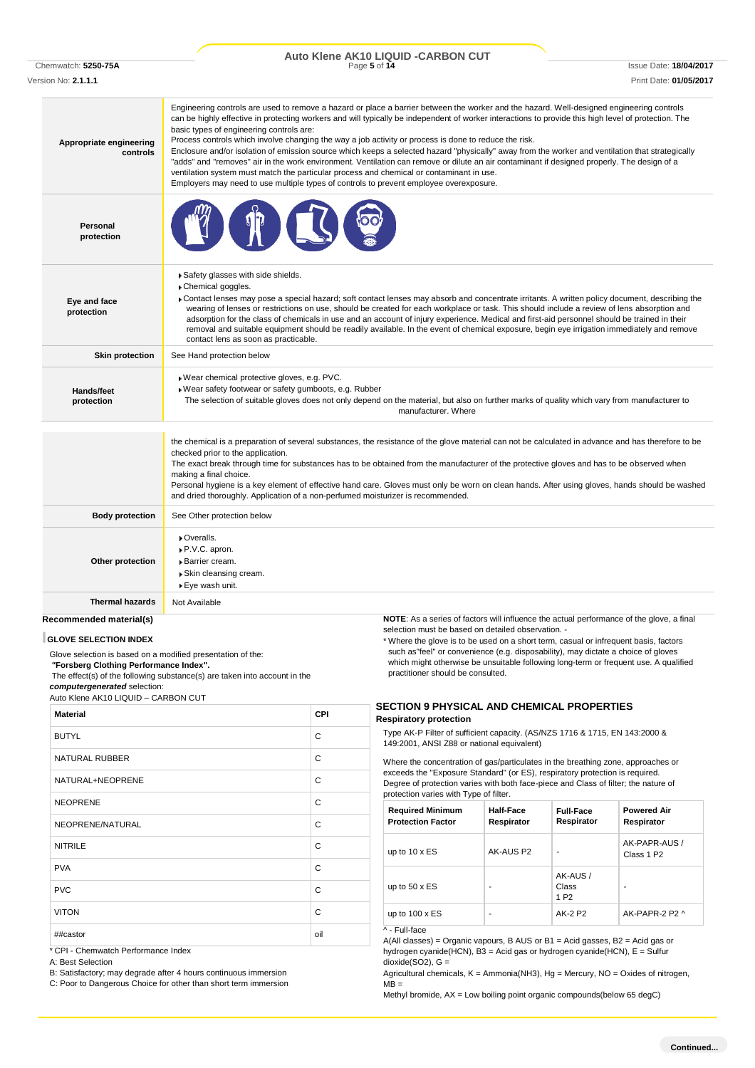Chemwatch: **5250-75A** Page **5** of **14** Issue Date: **18/04/2017 Auto Klene AK10 LIQUID -CARBON CUT**

Version No: **2.1.1.1** Print Date: **01/05/2017**

| Appropriate engineering<br>controls | Engineering controls are used to remove a hazard or place a barrier between the worker and the hazard. Well-designed engineering controls<br>can be highly effective in protecting workers and will typically be independent of worker interactions to provide this high level of protection. The<br>basic types of engineering controls are:<br>Process controls which involve changing the way a job activity or process is done to reduce the risk.<br>Enclosure and/or isolation of emission source which keeps a selected hazard "physically" away from the worker and ventilation that strategically<br>"adds" and "removes" air in the work environment. Ventilation can remove or dilute an air contaminant if designed properly. The design of a<br>ventilation system must match the particular process and chemical or contaminant in use.<br>Employers may need to use multiple types of controls to prevent employee overexposure. |
|-------------------------------------|-------------------------------------------------------------------------------------------------------------------------------------------------------------------------------------------------------------------------------------------------------------------------------------------------------------------------------------------------------------------------------------------------------------------------------------------------------------------------------------------------------------------------------------------------------------------------------------------------------------------------------------------------------------------------------------------------------------------------------------------------------------------------------------------------------------------------------------------------------------------------------------------------------------------------------------------------|
| Personal<br>protection              |                                                                                                                                                                                                                                                                                                                                                                                                                                                                                                                                                                                                                                                                                                                                                                                                                                                                                                                                                 |
| Eye and face<br>protection          | Safety glasses with side shields.<br>Chemical goggles.<br>▶ Contact lenses may pose a special hazard; soft contact lenses may absorb and concentrate irritants. A written policy document, describing the<br>wearing of lenses or restrictions on use, should be created for each workplace or task. This should include a review of lens absorption and<br>adsorption for the class of chemicals in use and an account of injury experience. Medical and first-aid personnel should be trained in their<br>removal and suitable equipment should be readily available. In the event of chemical exposure, begin eye irrigation immediately and remove<br>contact lens as soon as practicable.                                                                                                                                                                                                                                                  |
| <b>Skin protection</b>              | See Hand protection below                                                                                                                                                                                                                                                                                                                                                                                                                                                                                                                                                                                                                                                                                                                                                                                                                                                                                                                       |
| Hands/feet<br>protection            | Wear chemical protective gloves, e.g. PVC.<br>Wear safety footwear or safety gumboots, e.g. Rubber<br>The selection of suitable gloves does not only depend on the material, but also on further marks of quality which vary from manufacturer to<br>manufacturer. Where                                                                                                                                                                                                                                                                                                                                                                                                                                                                                                                                                                                                                                                                        |
|                                     | the chemical is a preparation of several substances, the resistance of the glove material can not be calculated in advance and has therefore to be<br>checked prior to the application.<br>The exact break through time for substances has to be obtained from the manufacturer of the protective gloves and has to be observed when<br>making a final choice.<br>Personal hygiene is a key element of effective hand care. Gloves must only be worn on clean hands. After using gloves, hands should be washed<br>and dried thoroughly. Application of a non-perfumed moisturizer is recommended.                                                                                                                                                                                                                                                                                                                                              |
| <b>Body protection</b>              | See Other protection below                                                                                                                                                                                                                                                                                                                                                                                                                                                                                                                                                                                                                                                                                                                                                                                                                                                                                                                      |
| Other protection                    | • Overalls.<br>▶ P.V.C. apron.<br>Barrier cream.<br>▶ Skin cleansing cream.<br>▶ Eye wash unit.                                                                                                                                                                                                                                                                                                                                                                                                                                                                                                                                                                                                                                                                                                                                                                                                                                                 |
| <b>Thermal hazards</b>              | Not Available                                                                                                                                                                                                                                                                                                                                                                                                                                                                                                                                                                                                                                                                                                                                                                                                                                                                                                                                   |
| Recommended material(s)             | <b>NOTE:</b> As a series of factors will influence the actual performance of the glove, a final                                                                                                                                                                                                                                                                                                                                                                                                                                                                                                                                                                                                                                                                                                                                                                                                                                                 |

#### **GLOVE SELECTION INDEX**

Glove selection is based on a modified presentation of the: *"***Forsberg Clothing Performance Index".** The effect(s) of the following substance(s) are taken into account in the

*computergenerated* selection:

Auto Klene AK10 LIQUID – CARBON CUT

| <b>Material</b>       | CPI |
|-----------------------|-----|
| <b>BUTYL</b>          | C   |
| <b>NATURAL RUBBER</b> | C   |
| NATURAL+NEOPRENE      | C   |
| <b>NEOPRENE</b>       | C   |
| NEOPRENE/NATURAL      | C   |
| <b>NITRILE</b>        | C   |
| <b>PVA</b>            | C   |
| <b>PVC</b>            | C   |
| <b>VITON</b>          | C   |
| ##castor              | oil |

\* CPI - Chemwatch Performance Index

A: Best Selection

B: Satisfactory; may degrade after 4 hours continuous immersion

C: Poor to Dangerous Choice for other than short term immersion

**NOTE**: As a series of factors will influence the actual performance of the glove, a final selection must be based on detailed observation. -

\* Where the glove is to be used on a short term, casual or infrequent basis, factors such as"feel" or convenience (e.g. disposability), may dictate a choice of gloves which might otherwise be unsuitable following long-term or frequent use. A qualified practitioner should be consulted.

#### **SECTION 9 PHYSICAL AND CHEMICAL PROPERTIES Respiratory protection**

Type AK-P Filter of sufficient capacity. (AS/NZS 1716 & 1715, EN 143:2000 & 149:2001, ANSI Z88 or national equivalent)

Where the concentration of gas/particulates in the breathing zone, approaches or exceeds the "Exposure Standard" (or ES), respiratory protection is required. Degree of protection varies with both face-piece and Class of filter; the nature of protection varies with Type of filter.

| <b>Required Minimum</b><br><b>Protection Factor</b> | Half-Face<br>Respirator | <b>Full-Face</b><br>Respirator       | <b>Powered Air</b><br>Respirator        |
|-----------------------------------------------------|-------------------------|--------------------------------------|-----------------------------------------|
| up to $10 \times ES$                                | AK-AUS P2               | ۰                                    | AK-PAPR-AUS /<br>Class 1 P <sub>2</sub> |
| up to $50 \times ES$                                |                         | AK-AUS/<br>Class<br>1 P <sub>2</sub> | ۰                                       |
| up to $100 \times ES$                               | ۰                       | AK-2 P2                              | AK-PAPR-2 P2 ^                          |

^ - Full-face

A(All classes) = Organic vapours, B AUS or B1 = Acid gasses, B2 = Acid gas or hydrogen cyanide(HCN), B3 = Acid gas or hydrogen cyanide(HCN), E = Sulfur dioxide(SO2), G =

Agricultural chemicals, K = Ammonia(NH3), Hg = Mercury, NO = Oxides of nitrogen,  $MB =$ 

Methyl bromide, AX = Low boiling point organic compounds(below 65 degC)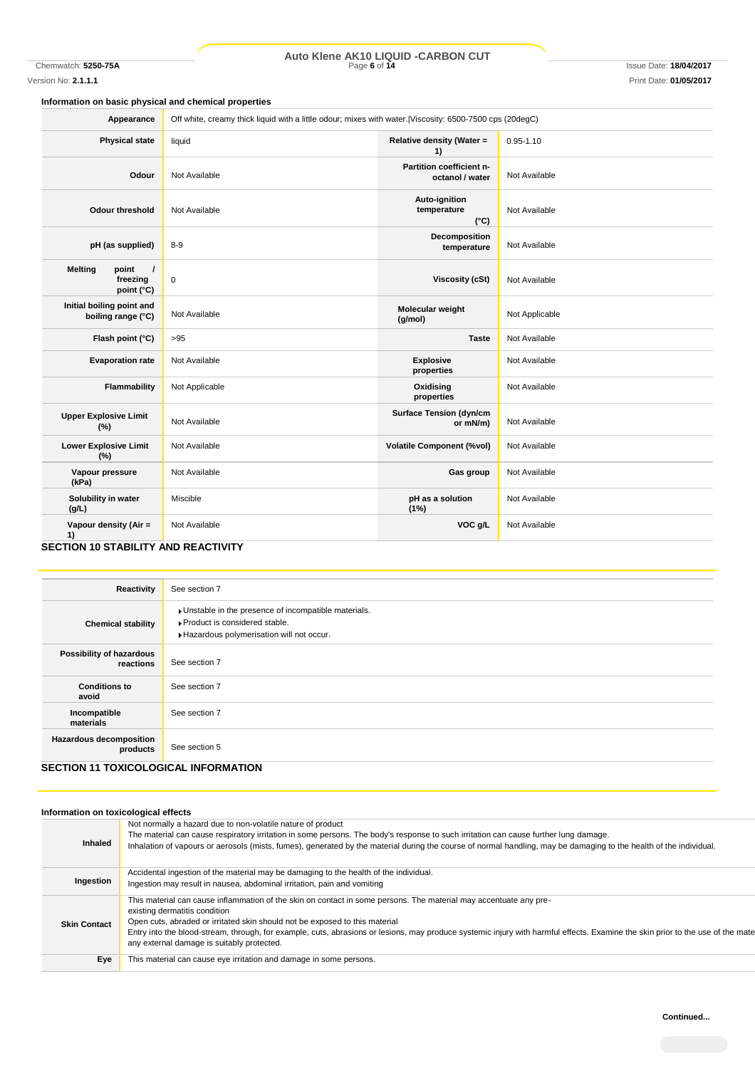## Chemwatch: **5250-75A** Page **6** of **14** Issue Date: **18/04/2017 Auto Klene AK10 LIQUID -CARBON CUT**

#### **Information on basic physical and chemical properties**

| Appearance                                                                | Off white, creamy thick liquid with a little odour; mixes with water. Viscosity: 6500-7500 cps (20degC) |                                               |                |
|---------------------------------------------------------------------------|---------------------------------------------------------------------------------------------------------|-----------------------------------------------|----------------|
| <b>Physical state</b>                                                     | liquid                                                                                                  | <b>Relative density (Water =</b><br>1)        | $0.95 - 1.10$  |
| Odour                                                                     | Not Available                                                                                           | Partition coefficient n-<br>octanol / water   | Not Available  |
| <b>Odour threshold</b>                                                    | Not Available                                                                                           | Auto-ignition<br>temperature<br>$(^{\circ}C)$ | Not Available  |
| pH (as supplied)                                                          | $8 - 9$                                                                                                 | Decomposition<br>temperature                  | Not Available  |
| <b>Melting</b><br>point<br>$\prime$<br>freezing<br>point (°C)             | $\pmb{0}$                                                                                               | <b>Viscosity (cSt)</b>                        | Not Available  |
| Initial boiling point and<br>boiling range (°C)                           | Not Available                                                                                           | Molecular weight<br>(g/mol)                   | Not Applicable |
| Flash point (°C)                                                          | >95                                                                                                     | <b>Taste</b>                                  | Not Available  |
| <b>Evaporation rate</b>                                                   | Not Available                                                                                           | <b>Explosive</b><br>properties                | Not Available  |
| Flammability                                                              | Not Applicable                                                                                          | Oxidising<br>properties                       | Not Available  |
| <b>Upper Explosive Limit</b><br>(%)                                       | Not Available                                                                                           | <b>Surface Tension (dyn/cm</b><br>or mN/m)    | Not Available  |
| <b>Lower Explosive Limit</b><br>(%)                                       | Not Available                                                                                           | <b>Volatile Component (%vol)</b>              | Not Available  |
| Vapour pressure<br>(kPa)                                                  | Not Available                                                                                           | Gas group                                     | Not Available  |
| Solubility in water<br>(g/L)                                              | Miscible                                                                                                | pH as a solution<br>(1%)                      | Not Available  |
| Vapour density (Air =<br>1)<br><b>CECTION 10 CTABILITY AND DEACTIVITY</b> | Not Available                                                                                           | VOC g/L                                       | Not Available  |

#### **SECTION 10 STABILITY AND REACTIVITY**

| Reactivity                                                                             | See section 7                                                                                                                      |
|----------------------------------------------------------------------------------------|------------------------------------------------------------------------------------------------------------------------------------|
| <b>Chemical stability</b>                                                              | Unstable in the presence of incompatible materials.<br>▶ Product is considered stable.<br>Hazardous polymerisation will not occur. |
| Possibility of hazardous<br>reactions                                                  | See section 7                                                                                                                      |
| <b>Conditions to</b><br>avoid                                                          | See section 7                                                                                                                      |
| Incompatible<br>materials                                                              | See section 7                                                                                                                      |
| <b>Hazardous decomposition</b><br>products<br>AFATIAN 11 TAVIAAL AAIA 11 INFARM ITIANI | See section 5                                                                                                                      |

### **SECTION 11 TOXICOLOGICAL INFORMATION**

| Information on toxicological effects |                                                                                                                                                                                                                                                                                                                                                                                                                                                                   |
|--------------------------------------|-------------------------------------------------------------------------------------------------------------------------------------------------------------------------------------------------------------------------------------------------------------------------------------------------------------------------------------------------------------------------------------------------------------------------------------------------------------------|
| <b>Inhaled</b>                       | Not normally a hazard due to non-volatile nature of product<br>The material can cause respiratory irritation in some persons. The body's response to such irritation can cause further lung damage.<br>Inhalation of vapours or aerosols (mists, fumes), generated by the material during the course of normal handling, may be damaging to the health of the individual.                                                                                         |
| Ingestion                            | Accidental ingestion of the material may be damaging to the health of the individual.<br>Ingestion may result in nausea, abdominal irritation, pain and vomiting                                                                                                                                                                                                                                                                                                  |
| <b>Skin Contact</b>                  | This material can cause inflammation of the skin on contact in some persons. The material may accentuate any pre-<br>existing dermatitis condition<br>Open cuts, abraded or irritated skin should not be exposed to this material<br>Entry into the blood-stream, through, for example, cuts, abrasions or lesions, may produce systemic injury with harmful effects. Examine the skin prior to the use of the mate<br>any external damage is suitably protected. |
| Eye                                  | This material can cause eye irritation and damage in some persons.                                                                                                                                                                                                                                                                                                                                                                                                |
|                                      |                                                                                                                                                                                                                                                                                                                                                                                                                                                                   |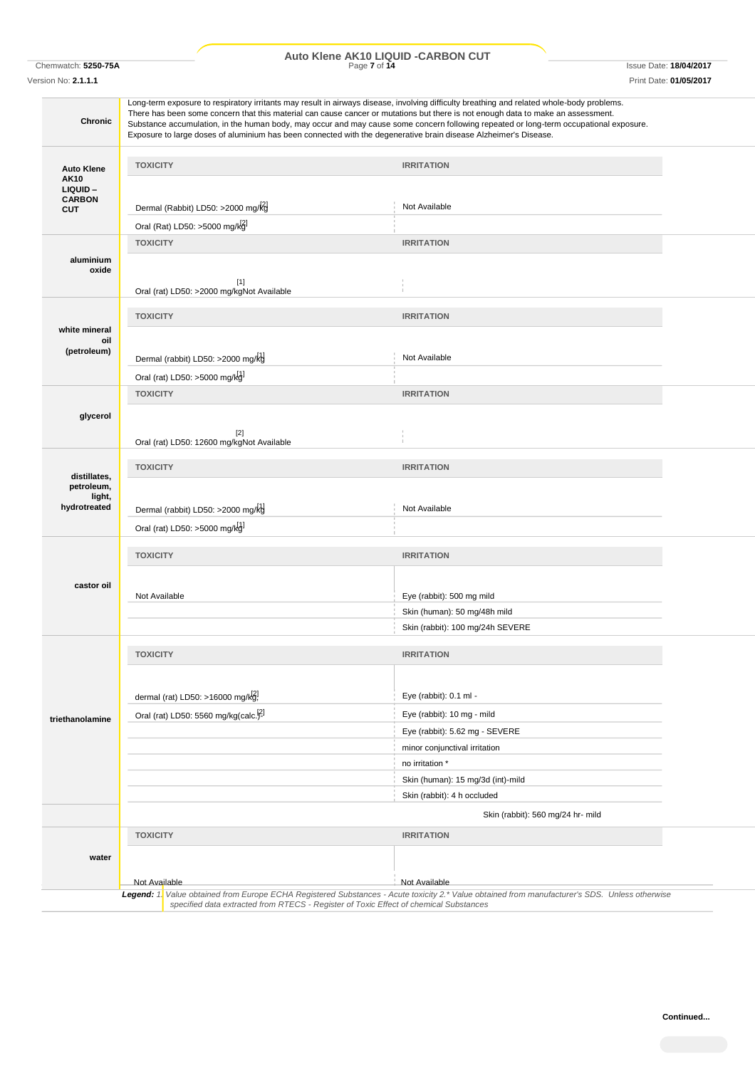## Chemwatch: **5250-75A** Page **7** of **14** Issue Date: **18/04/2017 Auto Klene AK10 LIQUID -CARBON CUT**

Version No: **2.1.1.1** Print Date: **01/05/2017**

| <b>Chronic</b>                                       |                                                                   | Long-term exposure to respiratory irritants may result in airways disease, involving difficulty breathing and related whole-body problems.<br>There has been some concern that this material can cause cancer or mutations but there is not enough data to make an assessment.<br>Substance accumulation, in the human body, may occur and may cause some concern following repeated or long-term occupational exposure.<br>Exposure to large doses of aluminium has been connected with the degenerative brain disease Alzheimer's Disease. |  |
|------------------------------------------------------|-------------------------------------------------------------------|----------------------------------------------------------------------------------------------------------------------------------------------------------------------------------------------------------------------------------------------------------------------------------------------------------------------------------------------------------------------------------------------------------------------------------------------------------------------------------------------------------------------------------------------|--|
| <b>Auto Klene</b><br><b>AK10</b><br>LIQUID-          | <b>TOXICITY</b>                                                   | <b>IRRITATION</b>                                                                                                                                                                                                                                                                                                                                                                                                                                                                                                                            |  |
| <b>CARBON</b><br><b>CUT</b>                          | Dermal (Rabbit) LD50: >2000 mg/kg                                 | Not Available                                                                                                                                                                                                                                                                                                                                                                                                                                                                                                                                |  |
|                                                      | Oral (Rat) LD50: >5000 mg/kg]                                     |                                                                                                                                                                                                                                                                                                                                                                                                                                                                                                                                              |  |
|                                                      | <b>TOXICITY</b>                                                   | <b>IRRITATION</b>                                                                                                                                                                                                                                                                                                                                                                                                                                                                                                                            |  |
| aluminium<br>oxide                                   | $[1]$<br>Oral (rat) LD50: >2000 mg/kgNot Available                |                                                                                                                                                                                                                                                                                                                                                                                                                                                                                                                                              |  |
|                                                      |                                                                   |                                                                                                                                                                                                                                                                                                                                                                                                                                                                                                                                              |  |
| white mineral<br>oil                                 | <b>TOXICITY</b>                                                   | <b>IRRITATION</b>                                                                                                                                                                                                                                                                                                                                                                                                                                                                                                                            |  |
| (petroleum)                                          | Dermal (rabbit) LD50: >2000 mg/kg                                 | Not Available                                                                                                                                                                                                                                                                                                                                                                                                                                                                                                                                |  |
|                                                      | Oral (rat) LD50: >5000 mg/kg1                                     |                                                                                                                                                                                                                                                                                                                                                                                                                                                                                                                                              |  |
|                                                      | <b>TOXICITY</b>                                                   | <b>IRRITATION</b>                                                                                                                                                                                                                                                                                                                                                                                                                                                                                                                            |  |
| glycerol                                             | $[2]$<br>Oral (rat) LD50: 12600 mg/kgNot Available                |                                                                                                                                                                                                                                                                                                                                                                                                                                                                                                                                              |  |
|                                                      | <b>TOXICITY</b>                                                   | <b>IRRITATION</b>                                                                                                                                                                                                                                                                                                                                                                                                                                                                                                                            |  |
| distillates,<br>petroleum,<br>light,<br>hydrotreated | Dermal (rabbit) LD50: >2000 mg/kg<br>Oral (rat) LD50: >5000 mg/kg | Not Available                                                                                                                                                                                                                                                                                                                                                                                                                                                                                                                                |  |
|                                                      |                                                                   |                                                                                                                                                                                                                                                                                                                                                                                                                                                                                                                                              |  |
|                                                      | <b>TOXICITY</b>                                                   | <b>IRRITATION</b>                                                                                                                                                                                                                                                                                                                                                                                                                                                                                                                            |  |
| castor oil                                           | Not Available                                                     | Eye (rabbit): 500 mg mild<br>Skin (human): 50 mg/48h mild                                                                                                                                                                                                                                                                                                                                                                                                                                                                                    |  |
|                                                      | Skin (rabbit): 100 mg/24h SEVERE                                  |                                                                                                                                                                                                                                                                                                                                                                                                                                                                                                                                              |  |
|                                                      |                                                                   |                                                                                                                                                                                                                                                                                                                                                                                                                                                                                                                                              |  |
|                                                      | <b>TOXICITY</b>                                                   | <b>IRRITATION</b>                                                                                                                                                                                                                                                                                                                                                                                                                                                                                                                            |  |
|                                                      | dermal (rat) LD50: >16000 mg/kg!                                  | Eye (rabbit): 0.1 ml -                                                                                                                                                                                                                                                                                                                                                                                                                                                                                                                       |  |
| triethanolamine                                      | Oral (rat) LD50: 5560 mg/kg(calc. <sup>[2]</sup>                  | Eye (rabbit): 10 mg - mild                                                                                                                                                                                                                                                                                                                                                                                                                                                                                                                   |  |
|                                                      |                                                                   | Eye (rabbit): 5.62 mg - SEVERE                                                                                                                                                                                                                                                                                                                                                                                                                                                                                                               |  |
|                                                      |                                                                   | minor conjunctival irritation                                                                                                                                                                                                                                                                                                                                                                                                                                                                                                                |  |
|                                                      |                                                                   | no irritation *<br>Skin (human): 15 mg/3d (int)-mild                                                                                                                                                                                                                                                                                                                                                                                                                                                                                         |  |
|                                                      |                                                                   | Skin (rabbit): 4 h occluded                                                                                                                                                                                                                                                                                                                                                                                                                                                                                                                  |  |
|                                                      |                                                                   | Skin (rabbit): 560 mg/24 hr- mild                                                                                                                                                                                                                                                                                                                                                                                                                                                                                                            |  |
|                                                      | <b>TOXICITY</b>                                                   | <b>IRRITATION</b>                                                                                                                                                                                                                                                                                                                                                                                                                                                                                                                            |  |
| water                                                |                                                                   |                                                                                                                                                                                                                                                                                                                                                                                                                                                                                                                                              |  |
|                                                      | Not Available                                                     | Not Available                                                                                                                                                                                                                                                                                                                                                                                                                                                                                                                                |  |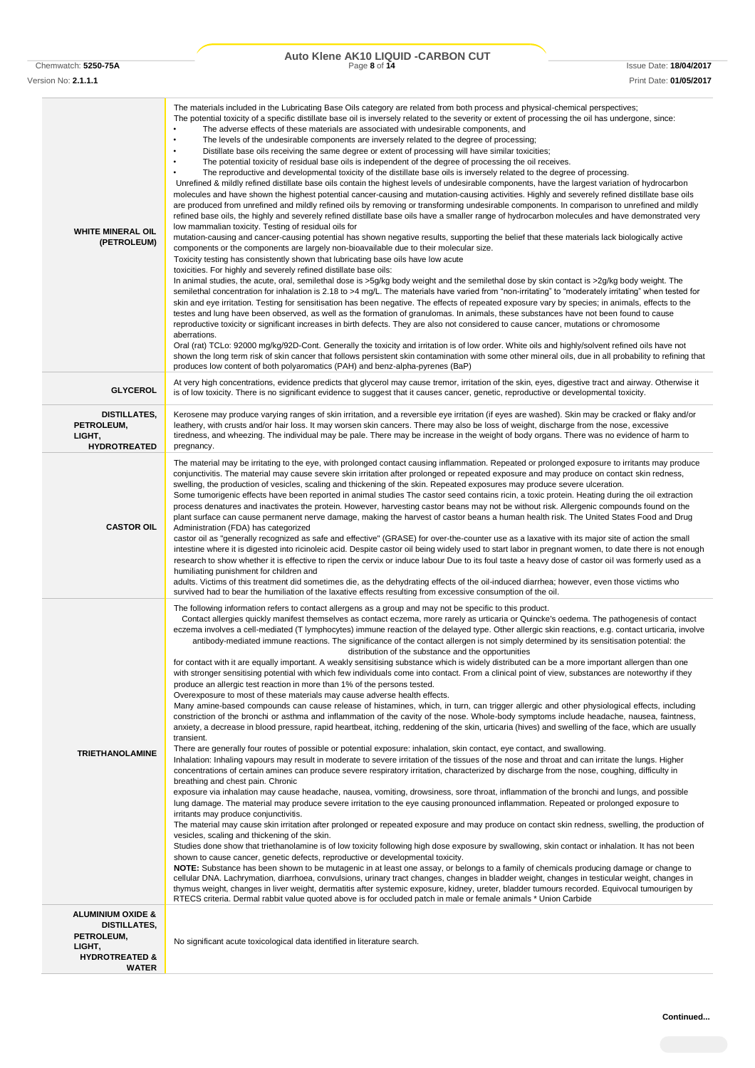### Chemwatch: **5250-75A** Page **8** of **14** Issue Date: **18/04/2017 Auto Klene AK10 LIQUID -CARBON CUT**

Version No: **2.1.1.1** Print Date: **01/05/2017**

| <b>WHITE MINERAL OIL</b><br>(PETROLEUM)                                                                                  | The materials included in the Lubricating Base Oils category are related from both process and physical-chemical perspectives;<br>The potential toxicity of a specific distillate base oil is inversely related to the severity or extent of processing the oil has undergone, since:<br>$\bullet$<br>The adverse effects of these materials are associated with undesirable components, and<br>The levels of the undesirable components are inversely related to the degree of processing;<br>Distillate base oils receiving the same degree or extent of processing will have similar toxicities;<br>The potential toxicity of residual base oils is independent of the degree of processing the oil receives.<br>The reproductive and developmental toxicity of the distillate base oils is inversely related to the degree of processing.<br>Unrefined & mildly refined distillate base oils contain the highest levels of undesirable components, have the largest variation of hydrocarbon<br>molecules and have shown the highest potential cancer-causing and mutation-causing activities. Highly and severely refined distillate base oils<br>are produced from unrefined and mildly refined oils by removing or transforming undesirable components. In comparison to unrefined and mildly<br>refined base oils, the highly and severely refined distillate base oils have a smaller range of hydrocarbon molecules and have demonstrated very<br>low mammalian toxicity. Testing of residual oils for<br>mutation-causing and cancer-causing potential has shown negative results, supporting the belief that these materials lack biologically active<br>components or the components are largely non-bioavailable due to their molecular size.<br>Toxicity testing has consistently shown that lubricating base oils have low acute<br>toxicities. For highly and severely refined distillate base oils:<br>In animal studies, the acute, oral, semilethal dose is >5g/kg body weight and the semilethal dose by skin contact is >2g/kg body weight. The<br>semilethal concentration for inhalation is 2.18 to >4 mg/L. The materials have varied from "non-irritating" to "moderately irritating" when tested for<br>skin and eye irritation. Testing for sensitisation has been negative. The effects of repeated exposure vary by species; in animals, effects to the<br>testes and lung have been observed, as well as the formation of granulomas. In animals, these substances have not been found to cause<br>reproductive toxicity or significant increases in birth defects. They are also not considered to cause cancer, mutations or chromosome<br>aberrations.<br>Oral (rat) TCLo: 92000 mg/kg/92D-Cont. Generally the toxicity and irritation is of low order. White oils and highly/solvent refined oils have not<br>shown the long term risk of skin cancer that follows persistent skin contamination with some other mineral oils, due in all probability to refining that<br>produces low content of both polyaromatics (PAH) and benz-alpha-pyrenes (BaP)                                                                                                                                                                                                                                                                                      |
|--------------------------------------------------------------------------------------------------------------------------|---------------------------------------------------------------------------------------------------------------------------------------------------------------------------------------------------------------------------------------------------------------------------------------------------------------------------------------------------------------------------------------------------------------------------------------------------------------------------------------------------------------------------------------------------------------------------------------------------------------------------------------------------------------------------------------------------------------------------------------------------------------------------------------------------------------------------------------------------------------------------------------------------------------------------------------------------------------------------------------------------------------------------------------------------------------------------------------------------------------------------------------------------------------------------------------------------------------------------------------------------------------------------------------------------------------------------------------------------------------------------------------------------------------------------------------------------------------------------------------------------------------------------------------------------------------------------------------------------------------------------------------------------------------------------------------------------------------------------------------------------------------------------------------------------------------------------------------------------------------------------------------------------------------------------------------------------------------------------------------------------------------------------------------------------------------------------------------------------------------------------------------------------------------------------------------------------------------------------------------------------------------------------------------------------------------------------------------------------------------------------------------------------------------------------------------------------------------------------------------------------------------------------------------------------------------------------------------------------------------------------------------------------------------------------------------------------------------------------------------------------------------------------------------------------------------------------------------------------------------------------------------------------------------------------------------------------------------------------------------------------------------------------------------------------------------------------------------------------------------------------------------------------------------------------------------------------------------------------------------------------------------------------------------------------------------------------------------------------------------------------------|
| <b>GLYCEROL</b>                                                                                                          | At very high concentrations, evidence predicts that glycerol may cause tremor, irritation of the skin, eyes, digestive tract and airway. Otherwise it<br>is of low toxicity. There is no significant evidence to suggest that it causes cancer, genetic, reproductive or developmental toxicity.                                                                                                                                                                                                                                                                                                                                                                                                                                                                                                                                                                                                                                                                                                                                                                                                                                                                                                                                                                                                                                                                                                                                                                                                                                                                                                                                                                                                                                                                                                                                                                                                                                                                                                                                                                                                                                                                                                                                                                                                                                                                                                                                                                                                                                                                                                                                                                                                                                                                                                                                                                                                                                                                                                                                                                                                                                                                                                                                                                                                                                                                                |
| DISTILLATES,<br>PETROLEUM,<br>LIGHT,<br><b>HYDROTREATED</b>                                                              | Kerosene may produce varying ranges of skin irritation, and a reversible eye irritation (if eyes are washed). Skin may be cracked or flaky and/or<br>leathery, with crusts and/or hair loss. It may worsen skin cancers. There may also be loss of weight, discharge from the nose, excessive<br>tiredness, and wheezing. The individual may be pale. There may be increase in the weight of body organs. There was no evidence of harm to<br>pregnancy.                                                                                                                                                                                                                                                                                                                                                                                                                                                                                                                                                                                                                                                                                                                                                                                                                                                                                                                                                                                                                                                                                                                                                                                                                                                                                                                                                                                                                                                                                                                                                                                                                                                                                                                                                                                                                                                                                                                                                                                                                                                                                                                                                                                                                                                                                                                                                                                                                                                                                                                                                                                                                                                                                                                                                                                                                                                                                                                        |
| <b>CASTOR OIL</b>                                                                                                        | The material may be irritating to the eye, with prolonged contact causing inflammation. Repeated or prolonged exposure to irritants may produce<br>conjunctivitis. The material may cause severe skin irritation after prolonged or repeated exposure and may produce on contact skin redness,<br>swelling, the production of vesicles, scaling and thickening of the skin. Repeated exposures may produce severe ulceration.<br>Some tumorigenic effects have been reported in animal studies The castor seed contains ricin, a toxic protein. Heating during the oil extraction<br>process denatures and inactivates the protein. However, harvesting castor beans may not be without risk. Allergenic compounds found on the<br>plant surface can cause permanent nerve damage, making the harvest of castor beans a human health risk. The United States Food and Drug<br>Administration (FDA) has categorized<br>castor oil as "generally recognized as safe and effective" (GRASE) for over-the-counter use as a laxative with its major site of action the small<br>intestine where it is digested into ricinoleic acid. Despite castor oil being widely used to start labor in pregnant women, to date there is not enough<br>research to show whether it is effective to ripen the cervix or induce labour Due to its foul taste a heavy dose of castor oil was formerly used as a<br>humiliating punishment for children and<br>adults. Victims of this treatment did sometimes die, as the dehydrating effects of the oil-induced diarrhea; however, even those victims who<br>survived had to bear the humiliation of the laxative effects resulting from excessive consumption of the oil.                                                                                                                                                                                                                                                                                                                                                                                                                                                                                                                                                                                                                                                                                                                                                                                                                                                                                                                                                                                                                                                                                                                                                                                                                                                                                                                                                                                                                                                                                                                                                                                                                                                                         |
| <b>TRIETHANOLAMINE</b>                                                                                                   | The following information refers to contact allergens as a group and may not be specific to this product.<br>Contact allergies quickly manifest themselves as contact eczema, more rarely as urticaria or Quincke's oedema. The pathogenesis of contact<br>eczema involves a cell-mediated (T lymphocytes) immune reaction of the delayed type. Other allergic skin reactions, e.g. contact urticaria, involve<br>antibody-mediated immune reactions. The significance of the contact allergen is not simply determined by its sensitisation potential: the<br>distribution of the substance and the opportunities<br>for contact with it are equally important. A weakly sensitising substance which is widely distributed can be a more important allergen than one<br>with stronger sensitising potential with which few individuals come into contact. From a clinical point of view, substances are noteworthy if they<br>produce an allergic test reaction in more than 1% of the persons tested.<br>Overexposure to most of these materials may cause adverse health effects.<br>Many amine-based compounds can cause release of histamines, which, in turn, can trigger allergic and other physiological effects, including<br>constriction of the bronchi or asthma and inflammation of the cavity of the nose. Whole-body symptoms include headache, nausea, faintness,<br>anxiety, a decrease in blood pressure, rapid heartbeat, itching, reddening of the skin, urticaria (hives) and swelling of the face, which are usually<br>transient.<br>There are generally four routes of possible or potential exposure: inhalation, skin contact, eye contact, and swallowing.<br>Inhalation: Inhaling vapours may result in moderate to severe irritation of the tissues of the nose and throat and can irritate the lungs. Higher<br>concentrations of certain amines can produce severe respiratory irritation, characterized by discharge from the nose, coughing, difficulty in<br>breathing and chest pain. Chronic<br>exposure via inhalation may cause headache, nausea, vomiting, drowsiness, sore throat, inflammation of the bronchi and lungs, and possible<br>lung damage. The material may produce severe irritation to the eye causing pronounced inflammation. Repeated or prolonged exposure to<br>irritants may produce conjunctivitis.<br>The material may cause skin irritation after prolonged or repeated exposure and may produce on contact skin redness, swelling, the production of<br>vesicles, scaling and thickening of the skin.<br>Studies done show that triethanolamine is of low toxicity following high dose exposure by swallowing, skin contact or inhalation. It has not been<br>shown to cause cancer, genetic defects, reproductive or developmental toxicity.<br>NOTE: Substance has been shown to be mutagenic in at least one assay, or belongs to a family of chemicals producing damage or change to<br>cellular DNA. Lachrymation, diarrhoea, convulsions, urinary tract changes, changes in bladder weight, changes in testicular weight, changes in<br>thymus weight, changes in liver weight, dermatitis after systemic exposure, kidney, ureter, bladder tumours recorded. Equivocal tumourigen by<br>RTECS criteria. Dermal rabbit value quoted above is for occluded patch in male or female animals * Union Carbide |
| <b>ALUMINIUM OXIDE &amp;</b><br><b>DISTILLATES,</b><br>PETROLEUM,<br>LIGHT,<br><b>HYDROTREATED &amp;</b><br><b>WATER</b> | No significant acute toxicological data identified in literature search.                                                                                                                                                                                                                                                                                                                                                                                                                                                                                                                                                                                                                                                                                                                                                                                                                                                                                                                                                                                                                                                                                                                                                                                                                                                                                                                                                                                                                                                                                                                                                                                                                                                                                                                                                                                                                                                                                                                                                                                                                                                                                                                                                                                                                                                                                                                                                                                                                                                                                                                                                                                                                                                                                                                                                                                                                                                                                                                                                                                                                                                                                                                                                                                                                                                                                                        |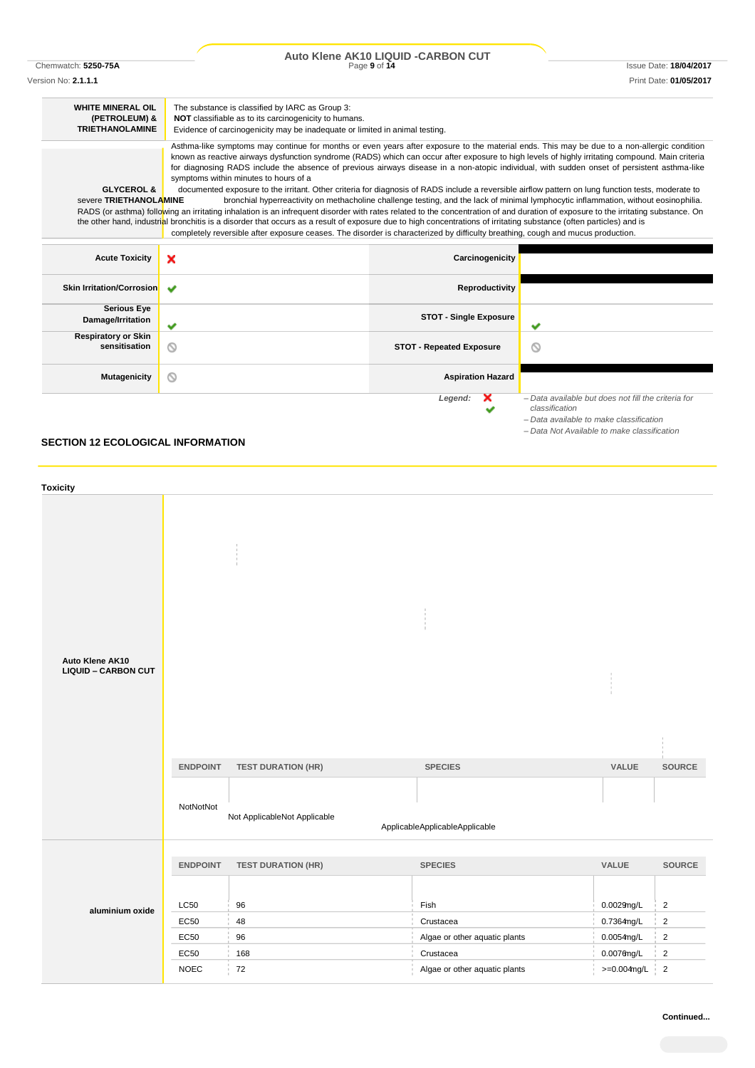|                                                                     |                                                                                                                                                                                                                                                                                                                                                                                                                                                                                                                                                                                                                                                                                                                                                                                                                                                                                                                                                                                                                                                                                                                                              | Auto Klene AK10 LIQUID - CARBON CUT |                                                                                                                                      |
|---------------------------------------------------------------------|----------------------------------------------------------------------------------------------------------------------------------------------------------------------------------------------------------------------------------------------------------------------------------------------------------------------------------------------------------------------------------------------------------------------------------------------------------------------------------------------------------------------------------------------------------------------------------------------------------------------------------------------------------------------------------------------------------------------------------------------------------------------------------------------------------------------------------------------------------------------------------------------------------------------------------------------------------------------------------------------------------------------------------------------------------------------------------------------------------------------------------------------|-------------------------------------|--------------------------------------------------------------------------------------------------------------------------------------|
| Chemwatch: 5250-75A                                                 |                                                                                                                                                                                                                                                                                                                                                                                                                                                                                                                                                                                                                                                                                                                                                                                                                                                                                                                                                                                                                                                                                                                                              | Page 9 of 14                        | <b>Issue Date: 18/04/2017</b>                                                                                                        |
| Version No: 2.1.1.1                                                 |                                                                                                                                                                                                                                                                                                                                                                                                                                                                                                                                                                                                                                                                                                                                                                                                                                                                                                                                                                                                                                                                                                                                              |                                     | Print Date: 01/05/2017                                                                                                               |
| <b>WHITE MINERAL OIL</b><br>(PETROLEUM) &<br><b>TRIETHANOLAMINE</b> | The substance is classified by IARC as Group 3:<br>NOT classifiable as to its carcinogenicity to humans.<br>Evidence of carcinogenicity may be inadequate or limited in animal testing.                                                                                                                                                                                                                                                                                                                                                                                                                                                                                                                                                                                                                                                                                                                                                                                                                                                                                                                                                      |                                     |                                                                                                                                      |
| <b>GLYCEROL &amp;</b><br>severe TRIETHANOLAMINE                     | Asthma-like symptoms may continue for months or even years after exposure to the material ends. This may be due to a non-allergic condition<br>known as reactive airways dysfunction syndrome (RADS) which can occur after exposure to high levels of highly irritating compound. Main criteria<br>for diagnosing RADS include the absence of previous airways disease in a non-atopic individual, with sudden onset of persistent asthma-like<br>symptoms within minutes to hours of a<br>documented exposure to the irritant. Other criteria for diagnosis of RADS include a reversible airflow pattern on lung function tests, moderate to<br>RADS (or asthma) following an irritating inhalation is an infrequent disorder with rates related to the concentration of and duration of exposure to the irritating substance. On<br>the other hand, industrial bronchitis is a disorder that occurs as a result of exposure due to high concentrations of irritating substance (often particles) and is<br>completely reversible after exposure ceases. The disorder is characterized by difficulty breathing, cough and mucus production. |                                     | bronchial hyperreactivity on methacholine challenge testing, and the lack of minimal lymphocytic inflammation, without eosinophilia. |
| <b>Acute Toxicity</b>                                               | $\boldsymbol{\mathsf{x}}$                                                                                                                                                                                                                                                                                                                                                                                                                                                                                                                                                                                                                                                                                                                                                                                                                                                                                                                                                                                                                                                                                                                    | Carcinogenicity                     |                                                                                                                                      |
| <b>Skin Irritation/Corrosion</b>                                    | $\checkmark$                                                                                                                                                                                                                                                                                                                                                                                                                                                                                                                                                                                                                                                                                                                                                                                                                                                                                                                                                                                                                                                                                                                                 | Reproductivity                      |                                                                                                                                      |
| <b>Serious Eye</b><br>Damage/Irritation                             | ✔                                                                                                                                                                                                                                                                                                                                                                                                                                                                                                                                                                                                                                                                                                                                                                                                                                                                                                                                                                                                                                                                                                                                            | <b>STOT - Single Exposure</b>       | ◡                                                                                                                                    |
| <b>Respiratory or Skin</b><br>sensitisation                         | ⊚                                                                                                                                                                                                                                                                                                                                                                                                                                                                                                                                                                                                                                                                                                                                                                                                                                                                                                                                                                                                                                                                                                                                            | <b>STOT - Repeated Exposure</b>     | ⊚                                                                                                                                    |
| <b>Mutagenicity</b>                                                 | ⊚                                                                                                                                                                                                                                                                                                                                                                                                                                                                                                                                                                                                                                                                                                                                                                                                                                                                                                                                                                                                                                                                                                                                            | <b>Aspiration Hazard</b>            |                                                                                                                                      |
|                                                                     |                                                                                                                                                                                                                                                                                                                                                                                                                                                                                                                                                                                                                                                                                                                                                                                                                                                                                                                                                                                                                                                                                                                                              | Legend:                             | - Data available but does not fill the criteria for<br>classification                                                                |

### **SECTION 12 ECOLOGICAL INFORMATION**

| <b>Toxicity</b>            |                 |                              |                                |                |               |
|----------------------------|-----------------|------------------------------|--------------------------------|----------------|---------------|
|                            |                 |                              |                                |                |               |
|                            |                 |                              |                                |                |               |
|                            |                 |                              |                                |                |               |
| Auto Klene AK10            |                 |                              |                                |                |               |
| <b>LIQUID - CARBON CUT</b> |                 |                              |                                |                |               |
|                            |                 |                              |                                |                |               |
|                            |                 |                              |                                |                |               |
|                            |                 |                              |                                |                |               |
|                            |                 |                              |                                |                |               |
|                            | <b>ENDPOINT</b> | <b>TEST DURATION (HR)</b>    | <b>SPECIES</b>                 | VALUE          | SOURCE        |
|                            |                 |                              |                                |                |               |
|                            | NotNotNot       |                              |                                |                |               |
|                            |                 | Not ApplicableNot Applicable | ApplicableApplicableApplicable |                |               |
|                            |                 |                              |                                |                |               |
|                            | <b>ENDPOINT</b> | <b>TEST DURATION (HR)</b>    | <b>SPECIES</b>                 | VALUE          | <b>SOURCE</b> |
|                            |                 |                              |                                |                |               |
|                            | <b>LC50</b>     | 96                           | Fish                           | 0.0029mg/L     | $\mathbf 2$   |
| aluminium oxide            | EC50            | 48                           | Crustacea                      | 0.7364mg/L     | $\mathbf 2$   |
|                            | EC50            | 96                           | Algae or other aquatic plants  | $0.0054$ mg/L  | $\sqrt{2}$    |
|                            | EC50            | 168                          | Crustacea                      | $0.0076$ ng/L  | $\mathbf 2$   |
|                            | <b>NOEC</b>     | 72                           | Algae or other aquatic plants  | $>=0.004$ mg/L | $\sqrt{2}$    |

*– Data available to make classification – Data Not Available to make classification*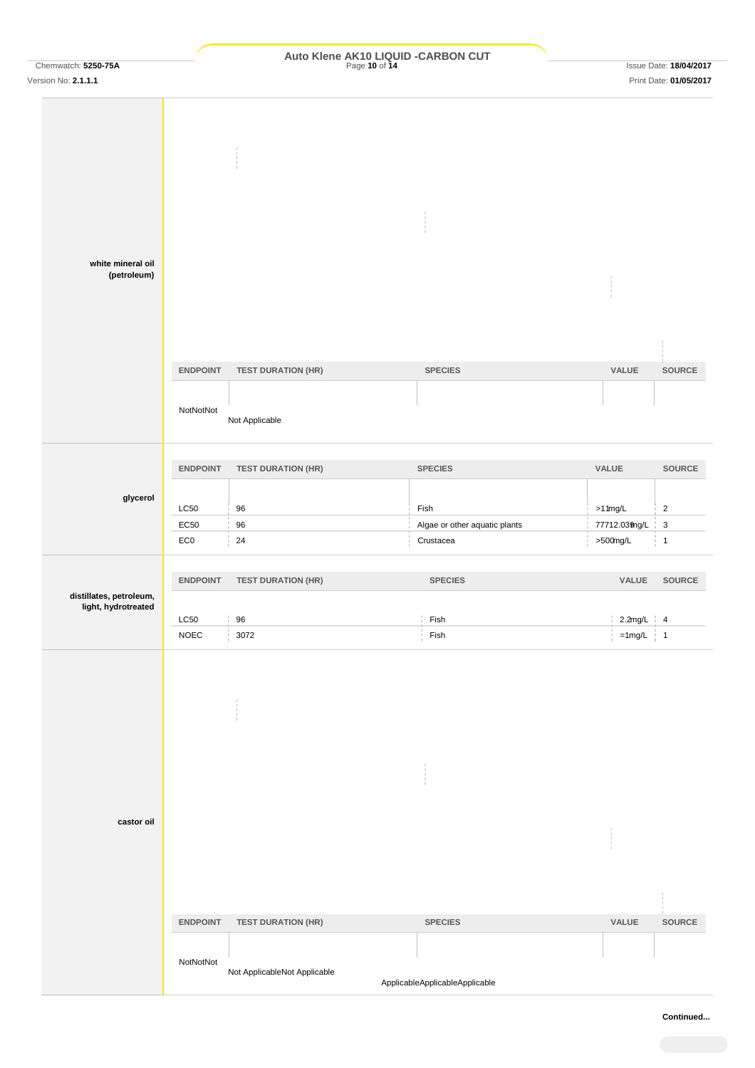|                     | Auto Klene AK10 LIQUID - CARBON CUT |                        |
|---------------------|-------------------------------------|------------------------|
| Chemwatch: 5250-75A | Page 10 of 14                       | Issue Date: 18/04/2017 |

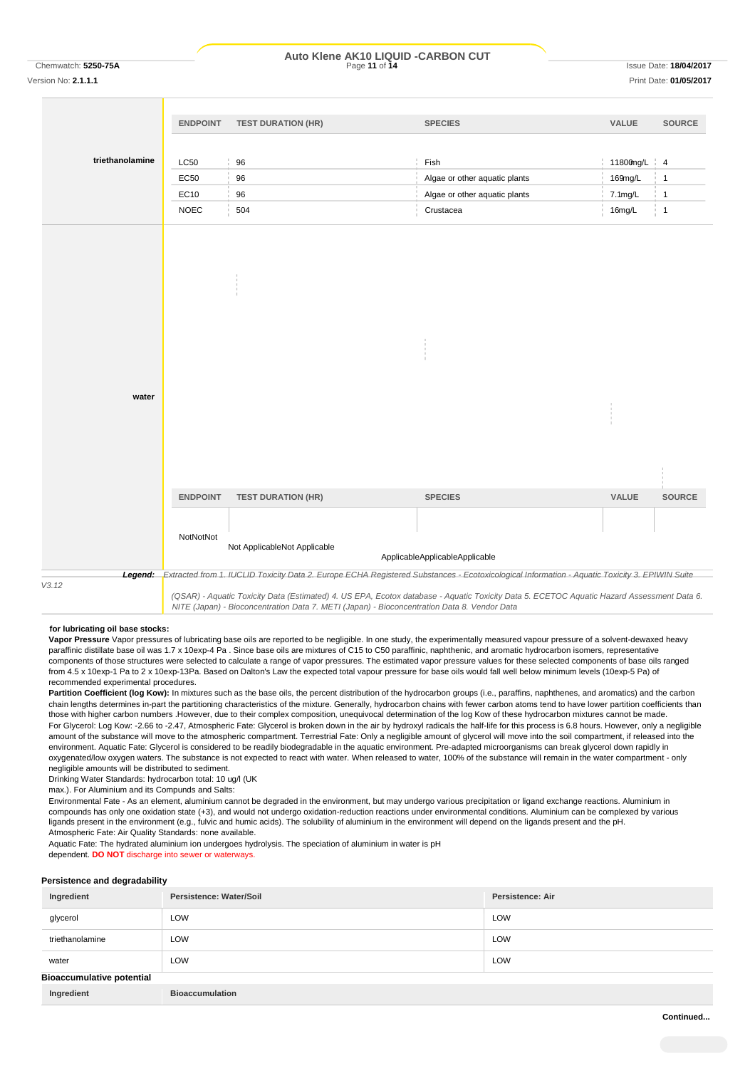### **Auto Klene AK10 LIQUID -CARBON CUT**

Version No: **2.1.1.1** Print Date: **01/05/2017**

# **triethanolamine ENDPOINT TEST DURATION (HR) SPECIES VALUE SOURCE water ENDPOINT TEST DURATION (HR) SPECIES VALUE SOURCE NotNot** Not ApplicableNot Applicable ApplicableApplicableApplicable *Legend: Extracted from 1. IUCLID Toxicity Data 2. Europe ECHA Registered Substances - Ecotoxicological Information - Aquatic Toxicity 3. EPIWIN Suite V3.12 (QSAR) - Aquatic Toxicity Data (Estimated) 4. US EPA, Ecotox database - Aquatic Toxicity Data 5. ECETOC Aquatic Hazard Assessment Data 6. NITE (Japan) - Bioconcentration Data 7. METI (Japan) - Bioconcentration Data 8. Vendor Data*  $LCS0$   $\qquad$  96  $\qquad$  Fish Fish 11800mg/L  $\qquad$  4 EC50 96 96 Algae or other aquatic plants 169mg/L 1 EC10 96 Algae or other aquatic plants 7.1mg/L 1 NOEC 504 Crustacea 16mg/L 1

#### **for lubricating oil base stocks:**

**Vapor Pressure** Vapor pressures of lubricating base oils are reported to be negligible. In one study, the experimentally measured vapour pressure of a solvent-dewaxed heavy paraffinic distillate base oil was 1.7 x 10exp-4 Pa . Since base oils are mixtures of C15 to C50 paraffinic, naphthenic, and aromatic hydrocarbon isomers, representative components of those structures were selected to calculate a range of vapor pressures. The estimated vapor pressure values for these selected components of base oils ranged from 4.5 x 10exp-1 Pa to 2 x 10exp-13Pa. Based on Dalton's Law the expected total vapour pressure for base oils would fall well below minimum levels (10exp-5 Pa) of recommended experimental procedures.

Partition Coefficient (log Kow): In mixtures such as the base oils, the percent distribution of the hydrocarbon groups (i.e., paraffins, naphthenes, and aromatics) and the carbon chain lengths determines in-part the partitioning characteristics of the mixture. Generally, hydrocarbon chains with fewer carbon atoms tend to have lower partition coefficients than those with higher carbon numbers .However, due to their complex composition, unequivocal determination of the log Kow of these hydrocarbon mixtures cannot be made. For Glycerol: Log Kow: -2.66 to -2.47, Atmospheric Fate: Glycerol is broken down in the air by hydroxyl radicals the half-life for this process is 6.8 hours. However, only a negligible amount of the substance will move to the atmospheric compartment. Terrestrial Fate: Only a negligible amount of glycerol will move into the soil compartment, if released into the environment. Aquatic Fate: Glycerol is considered to be readily biodegradable in the aquatic environment. Pre-adapted microorganisms can break glycerol down rapidly in oxygenated/low oxygen waters. The substance is not expected to react with water. When released to water, 100% of the substance will remain in the water compartment - only negligible amounts will be distributed to sediment.

Drinking Water Standards: hydrocarbon total: 10 ug/l (UK

max.). For Aluminium and its Compunds and Salts:

Environmental Fate - As an element, aluminium cannot be degraded in the environment, but may undergo various precipitation or ligand exchange reactions. Aluminium in compounds has only one oxidation state (+3), and would not undergo oxidation-reduction reactions under environmental conditions. Aluminium can be complexed by various ligands present in the environment (e.g., fulvic and humic acids). The solubility of aluminium in the environment will depend on the ligands present and the pH. Atmospheric Fate: Air Quality Standards: none available.

Aquatic Fate: The hydrated aluminium ion undergoes hydrolysis. The speciation of aluminium in water is pH

dependent. **DO NOT** discharge into sewer or waterways.

#### **Persistence and degradability**

| Ingredient                       | Persistence: Water/Soil | <b>Persistence: Air</b> |
|----------------------------------|-------------------------|-------------------------|
| glycerol                         | LOW                     | LOW                     |
| triethanolamine                  | LOW                     | LOW                     |
| water                            | LOW                     | LOW                     |
| <b>Bioaccumulative potential</b> |                         |                         |
| Ingredient                       | <b>Bioaccumulation</b>  |                         |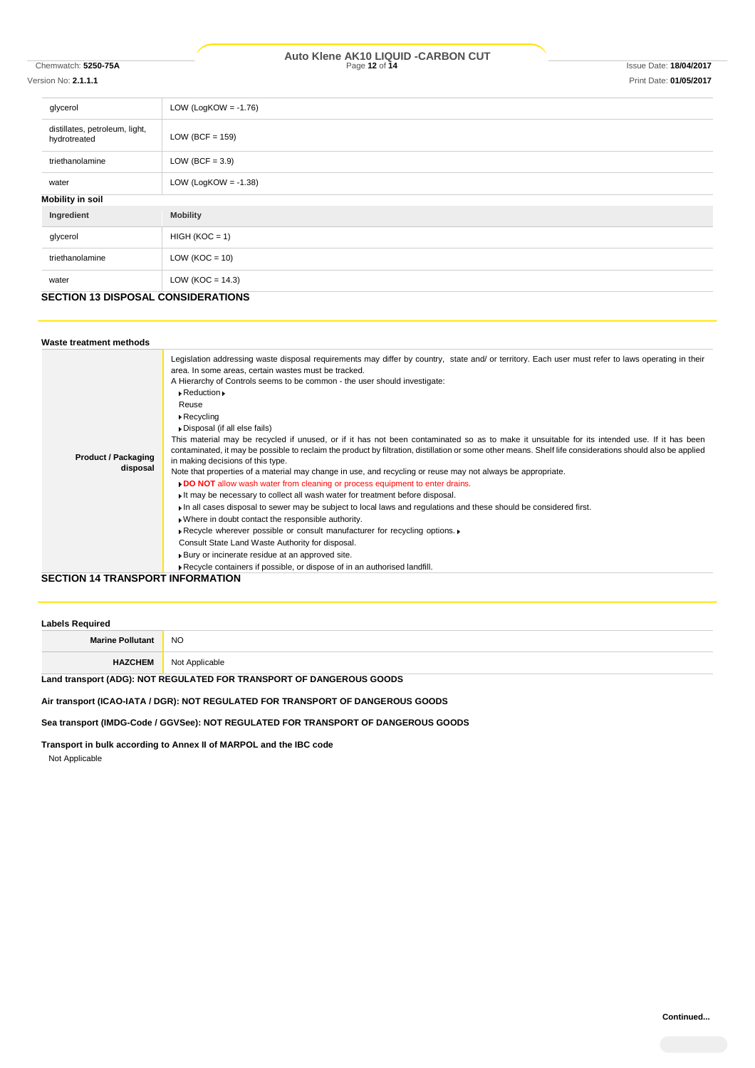## Version No: **2.1.1.1** Print Date: **01/05/2017**

| ersion No: <b>2.1.1.1</b> |  |
|---------------------------|--|
|                           |  |

| glycerol                                       | LOW (LogKOW = $-1.76$ ) |  |
|------------------------------------------------|-------------------------|--|
| distillates, petroleum, light,<br>hydrotreated | LOW (BCF = $159$ )      |  |
| triethanolamine                                | LOW (BCF = $3.9$ )      |  |
| water                                          | LOW (LogKOW = $-1.38$ ) |  |
| Mobility in soil                               |                         |  |
| Ingredient                                     | <b>Mobility</b>         |  |
| glycerol                                       | $HIGH (KOC = 1)$        |  |
| triethanolamine                                | LOW ( $KOC = 10$ )      |  |
| water                                          | LOW ( $KOC = 14.3$ )    |  |
| <b>CECTION 12 DICBOCAL CONCIDED ATIONS</b>     |                         |  |

#### **SECTION 13 DISPOSAL CONSIDERATIONS**

| Waste treatment methods                  |                                                                                                                                                                                                                                                                                                                                                                                                                                                                                                                                                                                                                                                                                                                                                                                                                                                                                                                                                                                                                                                                                                                                                                                                                                                                                                                                                                                                                                                                                                |
|------------------------------------------|------------------------------------------------------------------------------------------------------------------------------------------------------------------------------------------------------------------------------------------------------------------------------------------------------------------------------------------------------------------------------------------------------------------------------------------------------------------------------------------------------------------------------------------------------------------------------------------------------------------------------------------------------------------------------------------------------------------------------------------------------------------------------------------------------------------------------------------------------------------------------------------------------------------------------------------------------------------------------------------------------------------------------------------------------------------------------------------------------------------------------------------------------------------------------------------------------------------------------------------------------------------------------------------------------------------------------------------------------------------------------------------------------------------------------------------------------------------------------------------------|
| <b>Product / Packaging</b><br>disposal   | Legislation addressing waste disposal requirements may differ by country, state and/ or territory. Each user must refer to laws operating in their<br>area. In some areas, certain wastes must be tracked.<br>A Hierarchy of Controls seems to be common - the user should investigate:<br>$\triangleright$ Reduction $\triangleright$<br>Reuse<br>$\triangleright$ Recycling<br>Disposal (if all else fails)<br>This material may be recycled if unused, or if it has not been contaminated so as to make it unsuitable for its intended use. If it has been<br>contaminated, it may be possible to reclaim the product by filtration, distillation or some other means. Shelf life considerations should also be applied<br>in making decisions of this type.<br>Note that properties of a material may change in use, and recycling or reuse may not always be appropriate.<br>DO NOT allow wash water from cleaning or process equipment to enter drains.<br>It may be necessary to collect all wash water for treatment before disposal.<br>In all cases disposal to sewer may be subject to local laws and regulations and these should be considered first.<br>. Where in doubt contact the responsible authority.<br>▶ Recycle wherever possible or consult manufacturer for recycling options. ▶<br>Consult State Land Waste Authority for disposal.<br>▶ Bury or incinerate residue at an approved site.<br>Recycle containers if possible, or dispose of in an authorised landfill. |
| <b>CECTION 44 TD ANCHORT INFORMATION</b> |                                                                                                                                                                                                                                                                                                                                                                                                                                                                                                                                                                                                                                                                                                                                                                                                                                                                                                                                                                                                                                                                                                                                                                                                                                                                                                                                                                                                                                                                                                |

**CTION 14 TRANSPORT INFORMATION** 

| <b>Labels Required</b>                                               |                |  |
|----------------------------------------------------------------------|----------------|--|
| <b>Marine Pollutant</b>                                              | <b>NO</b>      |  |
| <b>HAZCHEM</b>                                                       | Not Applicable |  |
| Land transport (ADG): NOT REGULATED FOR TRANSPORT OF DANGEROUS GOODS |                |  |

**Air transport (ICAO-IATA / DGR): NOT REGULATED FOR TRANSPORT OF DANGEROUS GOODS**

**Sea transport (IMDG-Code / GGVSee): NOT REGULATED FOR TRANSPORT OF DANGEROUS GOODS**

**Transport in bulk according to Annex II of MARPOL and the IBC code**

Not Applicable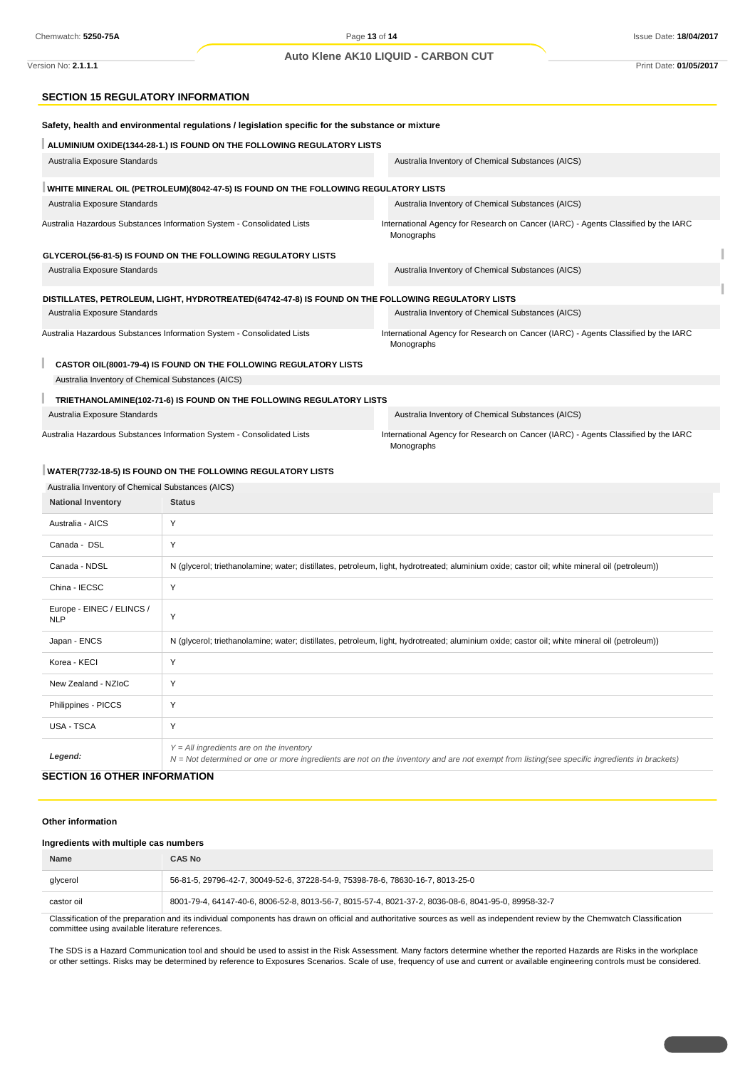#### **Auto Klene AK10 LIQUID - CARBON CUT**

Version No: **2.1.1.1** Print Date: **01/05/2017**

#### **SECTION 15 REGULATORY INFORMATION**

| Safety, health and environmental regulations / legislation specific for the substance or mixture |                                                                                                    |                                                                                                                                               |  |  |
|--------------------------------------------------------------------------------------------------|----------------------------------------------------------------------------------------------------|-----------------------------------------------------------------------------------------------------------------------------------------------|--|--|
| ALUMINIUM OXIDE(1344-28-1.) IS FOUND ON THE FOLLOWING REGULATORY LISTS                           |                                                                                                    |                                                                                                                                               |  |  |
| Australia Exposure Standards                                                                     |                                                                                                    | Australia Inventory of Chemical Substances (AICS)                                                                                             |  |  |
|                                                                                                  | WHITE MINERAL OIL (PETROLEUM)(8042-47-5) IS FOUND ON THE FOLLOWING REGULATORY LISTS                |                                                                                                                                               |  |  |
| Australia Exposure Standards                                                                     |                                                                                                    | Australia Inventory of Chemical Substances (AICS)                                                                                             |  |  |
| Australia Hazardous Substances Information System - Consolidated Lists                           |                                                                                                    | International Agency for Research on Cancer (IARC) - Agents Classified by the IARC<br>Monographs                                              |  |  |
| GLYCEROL(56-81-5) IS FOUND ON THE FOLLOWING REGULATORY LISTS                                     |                                                                                                    |                                                                                                                                               |  |  |
| Australia Exposure Standards                                                                     |                                                                                                    | Australia Inventory of Chemical Substances (AICS)                                                                                             |  |  |
|                                                                                                  | DISTILLATES, PETROLEUM, LIGHT, HYDROTREATED(64742-47-8) IS FOUND ON THE FOLLOWING REGULATORY LISTS |                                                                                                                                               |  |  |
| Australia Exposure Standards                                                                     |                                                                                                    | Australia Inventory of Chemical Substances (AICS)                                                                                             |  |  |
| Australia Hazardous Substances Information System - Consolidated Lists                           |                                                                                                    | International Agency for Research on Cancer (IARC) - Agents Classified by the IARC<br>Monographs                                              |  |  |
|                                                                                                  | CASTOR OIL(8001-79-4) IS FOUND ON THE FOLLOWING REGULATORY LISTS                                   |                                                                                                                                               |  |  |
| Australia Inventory of Chemical Substances (AICS)                                                |                                                                                                    |                                                                                                                                               |  |  |
|                                                                                                  | TRIETHANOLAMINE(102-71-6) IS FOUND ON THE FOLLOWING REGULATORY LISTS                               |                                                                                                                                               |  |  |
| Australia Exposure Standards                                                                     |                                                                                                    | Australia Inventory of Chemical Substances (AICS)                                                                                             |  |  |
| Australia Hazardous Substances Information System - Consolidated Lists                           |                                                                                                    | International Agency for Research on Cancer (IARC) - Agents Classified by the IARC<br>Monographs                                              |  |  |
|                                                                                                  | WATER(7732-18-5) IS FOUND ON THE FOLLOWING REGULATORY LISTS                                        |                                                                                                                                               |  |  |
| Australia Inventory of Chemical Substances (AICS)                                                |                                                                                                    |                                                                                                                                               |  |  |
| <b>National Inventory</b>                                                                        | <b>Status</b>                                                                                      |                                                                                                                                               |  |  |
| Australia - AICS                                                                                 | Y                                                                                                  |                                                                                                                                               |  |  |
| Canada - DSL                                                                                     | Y                                                                                                  |                                                                                                                                               |  |  |
| Canada - NDSL                                                                                    |                                                                                                    | N (glycerol; triethanolamine; water; distillates, petroleum, light, hydrotreated; aluminium oxide; castor oil; white mineral oil (petroleum)) |  |  |
| China - IECSC                                                                                    | Y                                                                                                  |                                                                                                                                               |  |  |
| Europe - EINEC / ELINCS /<br><b>NLP</b>                                                          | Y                                                                                                  |                                                                                                                                               |  |  |
| Japan - ENCS                                                                                     |                                                                                                    | N (glycerol; triethanolamine; water; distillates, petroleum, light, hydrotreated; aluminium oxide; castor oil; white mineral oil (petroleum)) |  |  |
| Korea - KECI                                                                                     | Y                                                                                                  |                                                                                                                                               |  |  |
| New Zealand - NZIoC                                                                              | Υ                                                                                                  |                                                                                                                                               |  |  |
| Philippines - PICCS                                                                              | Y                                                                                                  |                                                                                                                                               |  |  |
| USA - TSCA                                                                                       | Y                                                                                                  |                                                                                                                                               |  |  |
| Legend:                                                                                          | $Y = All$ ingredients are on the inventory                                                         | N = Not determined or one or more ingredients are not on the inventory and are not exempt from listing(see specific ingredients in brackets)  |  |  |
| <b>SECTION 16 OTHER INFORMATION</b>                                                              |                                                                                                    |                                                                                                                                               |  |  |

#### **Other information**

#### **Ingredients with multiple cas numbers**

| <b>Name</b>                                                                                                                                                                  | <b>CAS No</b>                                                                                       |  |
|------------------------------------------------------------------------------------------------------------------------------------------------------------------------------|-----------------------------------------------------------------------------------------------------|--|
| glycerol                                                                                                                                                                     | 56-81-5, 29796-42-7, 30049-52-6, 37228-54-9, 75398-78-6, 78630-16-7, 8013-25-0                      |  |
| castor oil                                                                                                                                                                   | 8001-79-4, 64147-40-6, 8006-52-8, 8013-56-7, 8015-57-4, 8021-37-2, 8036-08-6, 8041-95-0, 89958-32-7 |  |
| Classification of the proporation and its individual comparate has drown an official and outboritative courses as well as independent review by the Chamwatch Classification |                                                                                                     |  |

ation of the preparation and its individual components has drawn on official and authoritative sources as well as independent review by the Chemwatch Classification committee using available literature references.

The SDS is a Hazard Communication tool and should be used to assist in the Risk Assessment. Many factors determine whether the reported Hazards are Risks in the workplace or other settings. Risks may be determined by reference to Exposures Scenarios. Scale of use, frequency of use and current or available engineering controls must be considered.